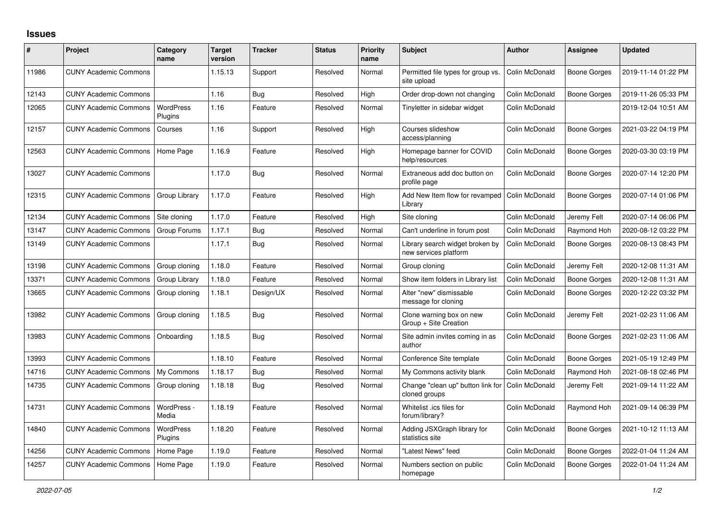## **Issues**

| #     | Project                      | Category<br>name     | <b>Target</b><br>version | <b>Tracker</b> | <b>Status</b> | <b>Priority</b><br>name | <b>Subject</b>                                           | <b>Author</b>  | Assignee            | <b>Updated</b>      |
|-------|------------------------------|----------------------|--------------------------|----------------|---------------|-------------------------|----------------------------------------------------------|----------------|---------------------|---------------------|
| 11986 | <b>CUNY Academic Commons</b> |                      | 1.15.13                  | Support        | Resolved      | Normal                  | Permitted file types for group vs.<br>site upload        | Colin McDonald | <b>Boone Gorges</b> | 2019-11-14 01:22 PM |
| 12143 | <b>CUNY Academic Commons</b> |                      | 1.16                     | <b>Bug</b>     | Resolved      | High                    | Order drop-down not changing                             | Colin McDonald | Boone Gorges        | 2019-11-26 05:33 PM |
| 12065 | <b>CUNY Academic Commons</b> | WordPress<br>Plugins | 1.16                     | Feature        | Resolved      | Normal                  | Tinyletter in sidebar widget                             | Colin McDonald |                     | 2019-12-04 10:51 AM |
| 12157 | <b>CUNY Academic Commons</b> | Courses              | 1.16                     | Support        | Resolved      | High                    | Courses slideshow<br>access/planning                     | Colin McDonald | Boone Gorges        | 2021-03-22 04:19 PM |
| 12563 | <b>CUNY Academic Commons</b> | Home Page            | 1.16.9                   | Feature        | Resolved      | High                    | Homepage banner for COVID<br>help/resources              | Colin McDonald | Boone Gorges        | 2020-03-30 03:19 PM |
| 13027 | <b>CUNY Academic Commons</b> |                      | 1.17.0                   | Bug            | Resolved      | Normal                  | Extraneous add doc button on<br>profile page             | Colin McDonald | <b>Boone Gorges</b> | 2020-07-14 12:20 PM |
| 12315 | <b>CUNY Academic Commons</b> | Group Library        | 1.17.0                   | Feature        | Resolved      | High                    | Add New Item flow for revamped<br>Library                | Colin McDonald | Boone Gorges        | 2020-07-14 01:06 PM |
| 12134 | <b>CUNY Academic Commons</b> | Site cloning         | 1.17.0                   | Feature        | Resolved      | High                    | Site cloning                                             | Colin McDonald | Jeremy Felt         | 2020-07-14 06:06 PM |
| 13147 | <b>CUNY Academic Commons</b> | Group Forums         | 1.17.1                   | <b>Bug</b>     | Resolved      | Normal                  | Can't underline in forum post                            | Colin McDonald | Raymond Hoh         | 2020-08-12 03:22 PM |
| 13149 | <b>CUNY Academic Commons</b> |                      | 1.17.1                   | Bug            | Resolved      | Normal                  | Library search widget broken by<br>new services platform | Colin McDonald | Boone Gorges        | 2020-08-13 08:43 PM |
| 13198 | <b>CUNY Academic Commons</b> | Group cloning        | 1.18.0                   | Feature        | Resolved      | Normal                  | Group cloning                                            | Colin McDonald | Jeremy Felt         | 2020-12-08 11:31 AM |
| 13371 | <b>CUNY Academic Commons</b> | Group Library        | 1.18.0                   | Feature        | Resolved      | Normal                  | Show item folders in Library list                        | Colin McDonald | Boone Gorges        | 2020-12-08 11:31 AM |
| 13665 | <b>CUNY Academic Commons</b> | Group cloning        | 1.18.1                   | Design/UX      | Resolved      | Normal                  | Alter "new" dismissable<br>message for cloning           | Colin McDonald | Boone Gorges        | 2020-12-22 03:32 PM |
| 13982 | <b>CUNY Academic Commons</b> | Group cloning        | 1.18.5                   | <b>Bug</b>     | Resolved      | Normal                  | Clone warning box on new<br>Group + Site Creation        | Colin McDonald | Jeremy Felt         | 2021-02-23 11:06 AM |
| 13983 | <b>CUNY Academic Commons</b> | Onboarding           | 1.18.5                   | <b>Bug</b>     | Resolved      | Normal                  | Site admin invites coming in as<br>author                | Colin McDonald | Boone Gorges        | 2021-02-23 11:06 AM |
| 13993 | <b>CUNY Academic Commons</b> |                      | 1.18.10                  | Feature        | Resolved      | Normal                  | Conference Site template                                 | Colin McDonald | <b>Boone Gorges</b> | 2021-05-19 12:49 PM |
| 14716 | <b>CUNY Academic Commons</b> | My Commons           | 1.18.17                  | <b>Bug</b>     | Resolved      | Normal                  | My Commons activity blank                                | Colin McDonald | Raymond Hoh         | 2021-08-18 02:46 PM |
| 14735 | <b>CUNY Academic Commons</b> | Group cloning        | 1.18.18                  | <b>Bug</b>     | Resolved      | Normal                  | Change "clean up" button link for<br>cloned groups       | Colin McDonald | Jeremy Felt         | 2021-09-14 11:22 AM |
| 14731 | <b>CUNY Academic Commons</b> | WordPress -<br>Media | 1.18.19                  | Feature        | Resolved      | Normal                  | Whitelist .ics files for<br>forum/library?               | Colin McDonald | Raymond Hoh         | 2021-09-14 06:39 PM |
| 14840 | <b>CUNY Academic Commons</b> | WordPress<br>Plugins | 1.18.20                  | Feature        | Resolved      | Normal                  | Adding JSXGraph library for<br>statistics site           | Colin McDonald | Boone Gorges        | 2021-10-12 11:13 AM |
| 14256 | <b>CUNY Academic Commons</b> | Home Page            | 1.19.0                   | Feature        | Resolved      | Normal                  | 'Latest News" feed                                       | Colin McDonald | Boone Gorges        | 2022-01-04 11:24 AM |
| 14257 | <b>CUNY Academic Commons</b> | Home Page            | 1.19.0                   | Feature        | Resolved      | Normal                  | Numbers section on public<br>homepage                    | Colin McDonald | Boone Gorges        | 2022-01-04 11:24 AM |